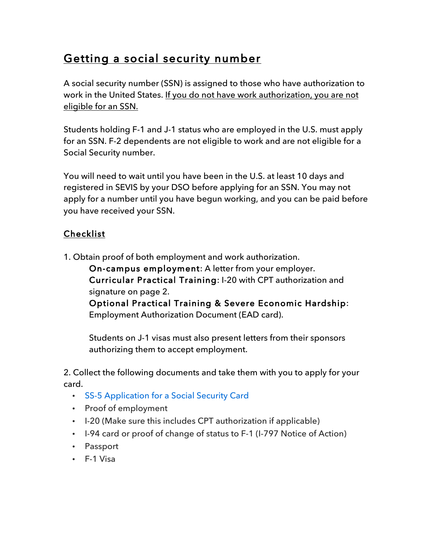## Getting a social security number

A social security number (SSN) is assigned to those who have authorization to work in the United States. If you do not have work authorization, you are not eligible for an SSN.

Students holding F-1 and J-1 status who are employed in the U.S. must apply for an SSN. F-2 dependents are not eligible to work and are not eligible for a Social Security number.

You will need to wait until you have been in the U.S. at least 10 days and registered in SEVIS by your DSO before applying for an SSN. You may not apply for a number until you have begun working, and you can be paid before you have received your SSN.

## Checklist

1. Obtain proof of both employment and work authorization.

On-campus employment: A letter from your employer. Curricular Practical Training: I-20 with CPT authorization and signature on page 2.

Optional Practical Training & Severe Economic Hardship: Employment Authorization Document (EAD card).

Students on J-1 visas must also present letters from their sponsors authorizing them to accept employment.

2. Collect the following documents and take them with you to apply for your card.

- SS-5 Application for a Social Security Card
- Proof of employment
- I-20 (Make sure this includes CPT authorization if applicable)
- I-94 card or proof of change of status to F-1 (I-797 Notice of Action)
- Passport
- F-1 Visa